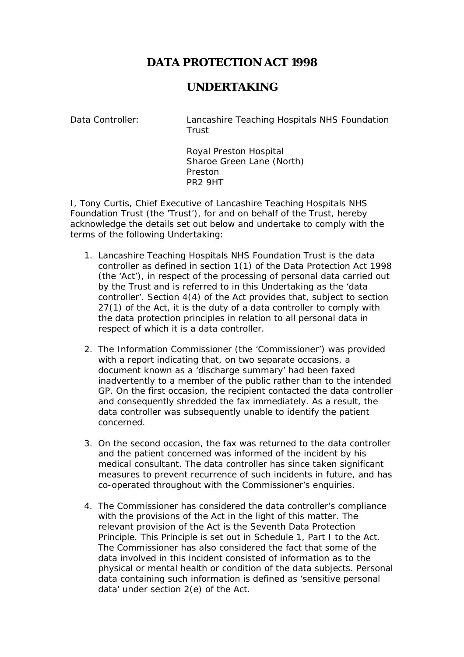## **DATA PROTECTION ACT 1998**

## **UNDERTAKING**

Data Controller: Lancashire Teaching Hospitals NHS Foundation **Trust** 

> Royal Preston Hospital Sharoe Green Lane (North) Preston PR2 9HT

I, Tony Curtis, Chief Executive of Lancashire Teaching Hospitals NHS Foundation Trust (the 'Trust'), for and on behalf of the Trust, hereby acknowledge the details set out below and undertake to comply with the terms of the following Undertaking:

- 1. Lancashire Teaching Hospitals NHS Foundation Trust is the data controller as defined in section 1(1) of the Data Protection Act 1998 (the 'Act'), in respect of the processing of personal data carried out by the Trust and is referred to in this Undertaking as the 'data controller'. Section 4(4) of the Act provides that, subject to section 27(1) of the Act, it is the duty of a data controller to comply with the data protection principles in relation to all personal data in respect of which it is a data controller.
- 2. The Information Commissioner (the 'Commissioner') was provided with a report indicating that, on two separate occasions, a document known as a 'discharge summary' had been faxed inadvertently to a member of the public rather than to the intended GP. On the first occasion, the recipient contacted the data controller and consequently shredded the fax immediately. As a result, the data controller was subsequently unable to identify the patient concerned.
- 3. On the second occasion, the fax was returned to the data controller and the patient concerned was informed of the incident by his medical consultant. The data controller has since taken significant measures to prevent recurrence of such incidents in future, and has co-operated throughout with the Commissioner's enquiries.
- 4. The Commissioner has considered the data controller's compliance with the provisions of the Act in the light of this matter. The relevant provision of the Act is the Seventh Data Protection Principle. This Principle is set out in Schedule 1, Part I to the Act. The Commissioner has also considered the fact that some of the data involved in this incident consisted of information as to the physical or mental health or condition of the data subjects. Personal data containing such information is defined as 'sensitive personal data' under section 2(e) of the Act.